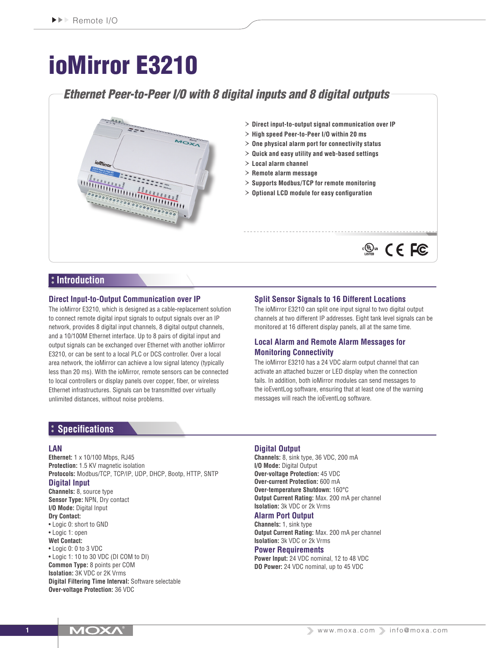# ioMirror E3210

# *Ethernet Peer-to-Peer I/O with 8 digital inputs and 8 digital outputs*



- › **Direct input-to-output signal communication over IP**
- › **High speed Peer-to-Peer I/O within 20 ms**
- › **One physical alarm port for connectivity status**
- › **Quick and easy utility and web-based settings**
- › **Local alarm channel**
- › **Remote alarm message**
- › **Supports Modbus/TCP for remote monitoring**
- › **Optional LCD module for easy configuration**

### **Introduction**

#### **Direct Input-to-Output Communication over IP**

The ioMirror E3210, which is designed as a cable-replacement solution to connect remote digital input signals to output signals over an IP network, provides 8 digital input channels, 8 digital output channels, and a 10/100M Ethernet interface. Up to 8 pairs of digital input and output signals can be exchanged over Ethernet with another ioMirror E3210, or can be sent to a local PLC or DCS controller. Over a local area network, the ioMirror can achieve a low signal latency (typically less than 20 ms). With the ioMirror, remote sensors can be connected to local controllers or display panels over copper, fiber, or wireless Ethernet infrastructures. Signals can be transmitted over virtually unlimited distances, without noise problems.

#### **Split Sensor Signals to 16 Different Locations**

The ioMirror E3210 can split one input signal to two digital output channels at two different IP addresses. Eight tank level signals can be monitored at 16 different display panels, all at the same time.

 $\mathbb{C}$   $\mathbb{C}$   $\mathbb{C}$   $\mathbb{C}$   $\mathbb{C}$ 

#### **Local Alarm and Remote Alarm Messages for Monitoring Connectivity**

The ioMirror E3210 has a 24 VDC alarm output channel that can activate an attached buzzer or LED display when the connection fails. In addition, both ioMirror modules can send messages to the ioEventLog software, ensuring that at least one of the warning messages will reach the ioEventLog software.

### **Specifications**

#### **LAN**

**Ethernet:** 1 x 10/100 Mbps, RJ45 **Protection:** 1.5 KV magnetic isolation **Protocols:** Modbus/TCP, TCP/IP, UDP, DHCP, Bootp, HTTP, SNTP

#### **Digital Input**

**Channels:** 8, source type **Sensor Type:** NPN, Dry contact **I/O Mode:** Digital Input **Dry Contact:**

• Logic 0: short to GND • Logic 1: open

#### **Wet Contact:**

• Logic 0: 0 to 3 VDC • Logic 1: 10 to 30 VDC (DI COM to DI) **Common Type:** 8 points per COM **Isolation:** 3K VDC or 2K Vrms **Digital Filtering Time Interval:** Software selectable **Over-voltage Protection:** 36 VDC

#### **Digital Output**

**Channels:** 8, sink type, 36 VDC, 200 mA **I/O Mode:** Digital Output **Over-voltage Protection:** 45 VDC **Over-current Protection:** 600 mA **Over-temperature Shutdown:** 160°C **Output Current Rating:** Max. 200 mA per channel **Isolation:** 3k VDC or 2k Vrms

#### **Alarm Port Output**

**Channels:** 1, sink type **Output Current Rating:** Max. 200 mA per channel **Isolation:** 3k VDC or 2k Vrms

#### **Power Requirements**

**Power Input:** 24 VDC nominal, 12 to 48 VDC **DO Power:** 24 VDC nominal, up to 45 VDC